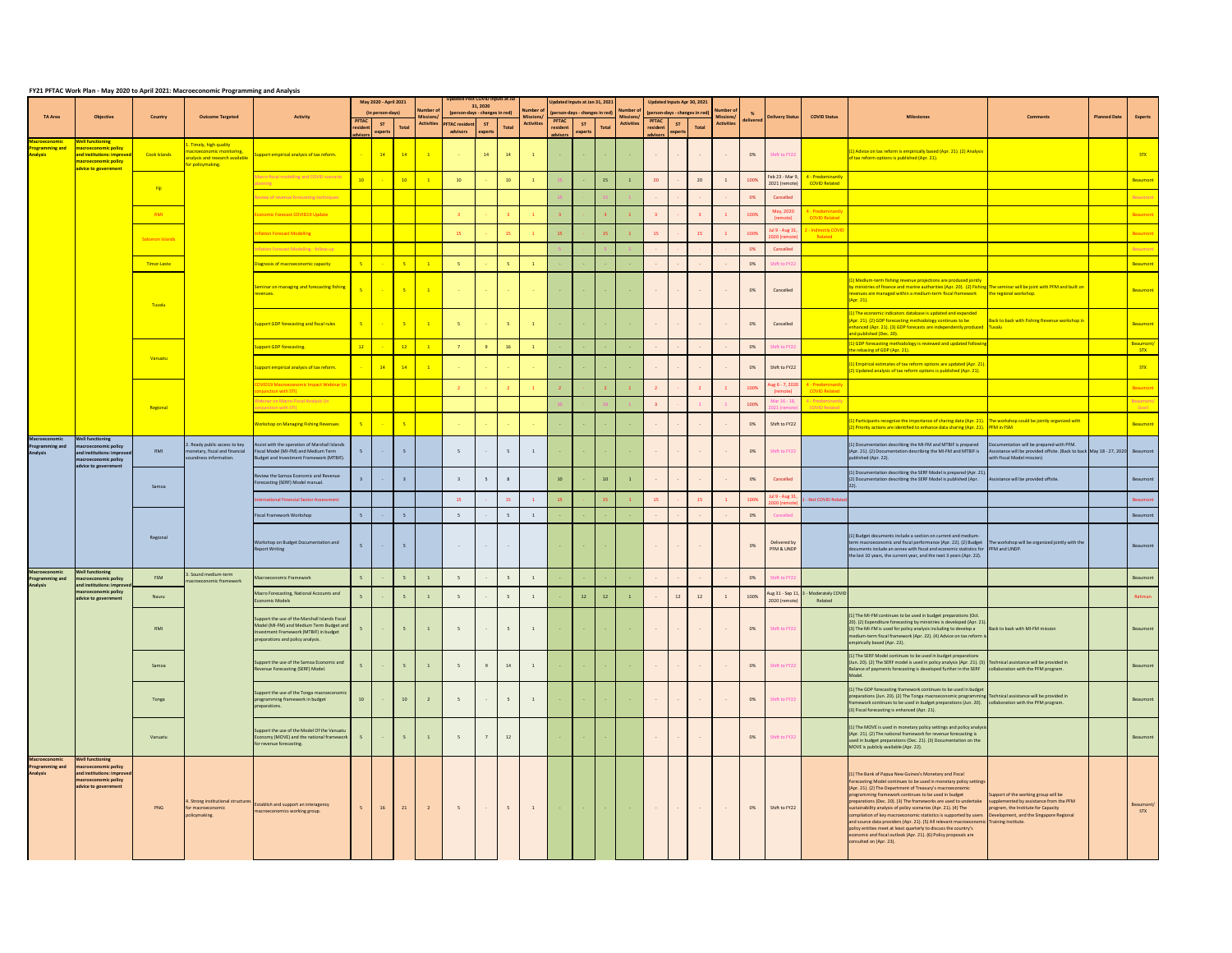## **FY21 PFTAC Work Plan - May 2020 to April 2021: Macroeconomic Programming and Analysis**

| TA Area<br><b>Objective</b>                                       |                                                                                                                                           | <b>Country</b>      | <b>Outcome Targeted</b>                                                                                                              | <b>Activity</b>                                                                                                                                                           |                                      | May 2020 - April 2021<br>(in person-days)                                |                 | <b>Number</b><br><b>Mission</b> |                                       | <b>Updated Post COVID Inputs at Jul</b><br>31, 2020<br>(person-days - changes in red) |                 | Number o          |                                      | Updated Inputs at Jan 31, 2021<br>(person-days - changes in red) |                          | <b>Number</b>      |                                           | Updated Inputs Apr 30, 2021<br>(person-days - changes in red) |                 | <b>Number of</b><br>Missions/ |           | Delivery Status                   | <b>COVID Status</b>                                | <b>Milestones</b>                                                                                                                                                                                                                                                                                                                                                                                                                                                                                                                                                                                                                                                                                                                                                 | Comments                                                                                                                                                | <b>Planned Date</b> | <b>Experts</b>          |
|-------------------------------------------------------------------|-------------------------------------------------------------------------------------------------------------------------------------------|---------------------|--------------------------------------------------------------------------------------------------------------------------------------|---------------------------------------------------------------------------------------------------------------------------------------------------------------------------|--------------------------------------|--------------------------------------------------------------------------|-----------------|---------------------------------|---------------------------------------|---------------------------------------------------------------------------------------|-----------------|-------------------|--------------------------------------|------------------------------------------------------------------|--------------------------|--------------------|-------------------------------------------|---------------------------------------------------------------|-----------------|-------------------------------|-----------|-----------------------------------|----------------------------------------------------|-------------------------------------------------------------------------------------------------------------------------------------------------------------------------------------------------------------------------------------------------------------------------------------------------------------------------------------------------------------------------------------------------------------------------------------------------------------------------------------------------------------------------------------------------------------------------------------------------------------------------------------------------------------------------------------------------------------------------------------------------------------------|---------------------------------------------------------------------------------------------------------------------------------------------------------|---------------------|-------------------------|
|                                                                   |                                                                                                                                           |                     |                                                                                                                                      |                                                                                                                                                                           | <b>PFTAC</b><br>resident<br>advisors | ST<br>experts                                                            | <b>Total</b>    |                                 | Activities PFTAC resident<br>advisors | ST<br>experts                                                                         | Total           | <b>Activities</b> | <b>PFTAC</b><br>resident<br>advisors | ST<br>experts                                                    | <b>Total</b>             | <b>Activities</b>  | <b>PFTAC</b><br>resident<br>advisors      | ST<br>experts                                                 | <b>Total</b>    | <b>Activities</b>             | delivered |                                   |                                                    |                                                                                                                                                                                                                                                                                                                                                                                                                                                                                                                                                                                                                                                                                                                                                                   |                                                                                                                                                         |                     |                         |
| <u> Macroeconomic</u><br>rogramming and<br><b>Analysis</b>        | <b>Well functioning</b><br><mark>nacroeconomic policy</mark><br>and institutions: improve<br>macroeconomic policy<br>advice to government | Cook Islands        | 1. Timely, high quality<br>nacroeconomic monitoring,<br><mark>nalysis and research available</mark><br><mark>or policymaking.</mark> | upport empirical analysis of tax reform.                                                                                                                                  |                                      | 14                                                                       | $\overline{14}$ | $\overline{1}$                  |                                       | 14                                                                                    | 14              |                   | <b>Common</b>                        | $\sim 10^{-1}$ m $^{-1}$                                         |                          | $\sim$ $ \sim$     | $\sim 100$                                | $\sim 100$                                                    | $\sim 100$      | $\sim 10^{-10}$               | 0%        | Shift to FY22                     |                                                    | (1) Advice on tax reform is empirically based (Apr. 21). (2) Analysis<br>of tax reform options is published (Apr. 21).                                                                                                                                                                                                                                                                                                                                                                                                                                                                                                                                                                                                                                            |                                                                                                                                                         |                     | <mark>STX</mark>        |
|                                                                   |                                                                                                                                           |                     |                                                                                                                                      | Macro-fiscal modelling and COVID scenario<br>lanning and the state of the                                                                                                 | 10                                   |                                                                          | 10              |                                 | 10                                    |                                                                                       | 10              |                   |                                      |                                                                  | 15                       |                    | 20                                        |                                                               | 20              |                               | 100%      | Feb 23 - Mar 9<br>2021 (remote)   | 4 - Predominantly<br><b>COVID Related</b>          |                                                                                                                                                                                                                                                                                                                                                                                                                                                                                                                                                                                                                                                                                                                                                                   |                                                                                                                                                         |                     | Beaumont                |
|                                                                   |                                                                                                                                           | <mark>– Fiji</mark> |                                                                                                                                      | eview of revenue forecasting techniques                                                                                                                                   |                                      |                                                                          |                 |                                 |                                       |                                                                                       |                 |                   |                                      |                                                                  |                          |                    |                                           |                                                               |                 |                               | 0%        | Cancelled                         |                                                    |                                                                                                                                                                                                                                                                                                                                                                                                                                                                                                                                                                                                                                                                                                                                                                   |                                                                                                                                                         |                     |                         |
|                                                                   |                                                                                                                                           | <b>RMI</b>          |                                                                                                                                      | conomic Forecast COVID19 Update                                                                                                                                           |                                      |                                                                          |                 |                                 |                                       |                                                                                       |                 |                   |                                      |                                                                  |                          |                    |                                           |                                                               |                 |                               | 100%      | May, 2020<br>(remote)             | 4 - Predominant<br><b>COVID Related</b>            |                                                                                                                                                                                                                                                                                                                                                                                                                                                                                                                                                                                                                                                                                                                                                                   |                                                                                                                                                         |                     | <b>Beaumont</b>         |
|                                                                   |                                                                                                                                           | Solomon Islands     |                                                                                                                                      | nflation Forecast Modelling                                                                                                                                               |                                      |                                                                          |                 |                                 | - 15                                  |                                                                                       | 15              |                   |                                      |                                                                  |                          |                    | 15                                        |                                                               | 15              |                               | 100%      | Jul 9 - Aug 31                    | directly COVI<br>Related                           |                                                                                                                                                                                                                                                                                                                                                                                                                                                                                                                                                                                                                                                                                                                                                                   |                                                                                                                                                         |                     | Beaumont                |
|                                                                   |                                                                                                                                           |                     |                                                                                                                                      | nflation Forecast Modelling - follow-up                                                                                                                                   |                                      |                                                                          |                 |                                 |                                       |                                                                                       |                 |                   |                                      |                                                                  |                          |                    |                                           |                                                               |                 |                               | 0%        | Cancelled                         |                                                    |                                                                                                                                                                                                                                                                                                                                                                                                                                                                                                                                                                                                                                                                                                                                                                   |                                                                                                                                                         |                     |                         |
|                                                                   |                                                                                                                                           | Timor-Leste         |                                                                                                                                      | liagnosis of macroeconomic capacity                                                                                                                                       |                                      |                                                                          |                 |                                 |                                       |                                                                                       |                 |                   |                                      |                                                                  |                          |                    |                                           |                                                               |                 |                               | 0%        | Shift to FY22                     |                                                    |                                                                                                                                                                                                                                                                                                                                                                                                                                                                                                                                                                                                                                                                                                                                                                   |                                                                                                                                                         |                     | Beaumont                |
|                                                                   |                                                                                                                                           | <b>Tuvalu</b>       |                                                                                                                                      | Seminar on managing and forecasting fishing  <br>revenues.                                                                                                                |                                      | $5 \mid \cdot \cdot \cdot \cdot$                                         | $-5$            | $\overline{1}$                  |                                       | <b>Contract</b>                                                                       | <b>Contract</b> | <b>Contractor</b> | <b>Service</b>                       | <b>Contract</b>                                                  |                          |                    | $\sim 100$ km s $^{-1}$                   |                                                               | $\sim 100$      | $\sim 10^{-10}$               | 0%        | Cancelled                         |                                                    | (1) Medium-term fishing revenue projections are produced jointly<br>by ministries of finance and marine authorities (Apr. 20). (2) Fishing The seminar will be joint with PFM and built on<br>revenues are managed within a medium-term fiscal framework<br>(Apr. 21).                                                                                                                                                                                                                                                                                                                                                                                                                                                                                            | the regional workshop.                                                                                                                                  |                     | Beaumont                |
|                                                                   |                                                                                                                                           |                     |                                                                                                                                      | <b>Support GDP forecasting and fiscal rules</b>                                                                                                                           | 5                                    | $\sim 100$                                                               |                 |                                 |                                       |                                                                                       |                 |                   | <b>Contractor</b>                    | <b>Contract</b>                                                  |                          |                    | $\sim 100$                                | $\sim$ $-$                                                    | $\sim 100$      |                               | 0%        | Cancelled                         |                                                    | $(1)$ The economic indicators database is updated and expanded<br>(Apr. 21). (2) GDP forecasting methodology continues to be<br>enhanced (Apr. 21). (3) GDP forecasts are independently produced Tuvalu<br>and published (Dec. 20).                                                                                                                                                                                                                                                                                                                                                                                                                                                                                                                               | Back to back with Fishing Revenue workshop in                                                                                                           |                     | Beaumont                |
|                                                                   |                                                                                                                                           |                     |                                                                                                                                      | upport GDP forecasting.                                                                                                                                                   |                                      |                                                                          | 12              |                                 |                                       |                                                                                       | <b>16</b>       |                   |                                      |                                                                  |                          |                    |                                           |                                                               |                 | $\sim 100$                    | 0%        | Shift to FY22                     |                                                    | (1) GDP forecasting methodology is reviewed and updated followi<br>the rebasing of GDP (Apr. 21).                                                                                                                                                                                                                                                                                                                                                                                                                                                                                                                                                                                                                                                                 |                                                                                                                                                         |                     | Beaumont/<br><b>STX</b> |
|                                                                   |                                                                                                                                           | Vanuatu             |                                                                                                                                      | Support empirical analysis of tax reform.                                                                                                                                 | $\sim$                               | $\begin{array}{ c c c c c }\n\hline\n\text{14} & \text{14}\n\end{array}$ | $\frac{14}{14}$ | $\overline{1}$                  |                                       |                                                                                       |                 |                   |                                      |                                                                  |                          |                    |                                           |                                                               |                 |                               | 0%        | Shift to FY22                     |                                                    | (1) Empirical estimates of tax reform options are updated (Apr. 21)<br>(2) Updated analysis of tax reform options is published (Apr. 21).                                                                                                                                                                                                                                                                                                                                                                                                                                                                                                                                                                                                                         |                                                                                                                                                         |                     | <b>STX</b>              |
|                                                                   |                                                                                                                                           |                     |                                                                                                                                      | <b>VID19 Macroeconomic Impact Webinar (in</b><br>onjunction with STI)                                                                                                     |                                      |                                                                          |                 |                                 |                                       |                                                                                       |                 |                   |                                      |                                                                  |                          |                    |                                           |                                                               |                 |                               | 100%      | (remote)                          | Nug 6 - 7, 2020 4 - Predominantly<br>COVID Related |                                                                                                                                                                                                                                                                                                                                                                                                                                                                                                                                                                                                                                                                                                                                                                   |                                                                                                                                                         |                     | Beaumont                |
|                                                                   |                                                                                                                                           | Regional            |                                                                                                                                      | 'ebinar on Macro-Fiscal Analysis (in<br>onjunction with STI)                                                                                                              |                                      |                                                                          |                 |                                 |                                       |                                                                                       |                 |                   |                                      |                                                                  |                          |                    |                                           |                                                               |                 |                               | 100%      | Mar 16 - 18,                      | 4 - Predominantl<br><b>COVID Related</b>           |                                                                                                                                                                                                                                                                                                                                                                                                                                                                                                                                                                                                                                                                                                                                                                   |                                                                                                                                                         |                     | Govil                   |
| Macroeconomic                                                     | <b>Well functioning</b>                                                                                                                   |                     |                                                                                                                                      | <b>Workshop on Managing Fishing Revenues</b>                                                                                                                              | $-5$                                 |                                                                          |                 |                                 |                                       |                                                                                       |                 |                   |                                      |                                                                  |                          |                    |                                           |                                                               |                 |                               | 0%        | Shift to FY22                     |                                                    | (1) Participants recognize the importance of sharing data (Apr. 21). The workshop could be jointly organized with<br>(2) Priority actions are identified to enhance data sharing (Apr. 21). PFM in FSM                                                                                                                                                                                                                                                                                                                                                                                                                                                                                                                                                            |                                                                                                                                                         |                     | Beaumont                |
| <b>Programming and</b><br><b>Analysis</b>                         | nacroeconomic policy<br>and institutions: improve<br>macroeconomic policy<br>advice to government                                         | RMI                 | 2. Ready public access to key<br>monetary, fiscal and financial<br>soundness information.                                            | Assist with the operation of Marshall Islands<br>Fiscal Model (MI-FM) and Medium Term<br>Budget and Investment Framework (MTBIF).                                         |                                      | $\sim 10^{-10}$                                                          | - 5             |                                 |                                       | $\sim 100$                                                                            |                 |                   |                                      |                                                                  |                          |                    |                                           |                                                               |                 |                               | 0%        | Shift to FY22                     |                                                    | (1) Documentation describing the MI-FM and MTBIF is prepared<br>(Apr. 21). (2) Documentation describing the MI-FM and MTBIF is<br>published (Apr. 22).                                                                                                                                                                                                                                                                                                                                                                                                                                                                                                                                                                                                            | Documentation will be prepared with PFM.<br>Assistance will be provided offsite. (Back to back May 18 - 27, 2020 Beaumont<br>with Fiscal Model mission) |                     |                         |
|                                                                   |                                                                                                                                           | Samoa               |                                                                                                                                      | Review the Samoa Economic and Revenue<br>Forecasting (SERF) Model manual.                                                                                                 |                                      |                                                                          |                 |                                 |                                       |                                                                                       | 8               |                   | 10                                   |                                                                  | 10                       |                    |                                           |                                                               |                 |                               | 0%        | Cancelled                         |                                                    | (1) Documentation describing the SERF Model is prepared (Apr. 21).<br>(2) Documentation describing the SERF Model is published (Apr.                                                                                                                                                                                                                                                                                                                                                                                                                                                                                                                                                                                                                              | Assistance will be provided offsite.                                                                                                                    |                     | Beaumont                |
|                                                                   |                                                                                                                                           |                     |                                                                                                                                      | Iternational Financial Sector Assessment                                                                                                                                  |                                      |                                                                          |                 |                                 | 15                                    |                                                                                       | 15              |                   |                                      |                                                                  |                          |                    | 15                                        |                                                               | 15              |                               | 100%      | Jul 9 - Aug 31                    | - Not COVID Relate                                 |                                                                                                                                                                                                                                                                                                                                                                                                                                                                                                                                                                                                                                                                                                                                                                   |                                                                                                                                                         |                     | <b>Beaumont</b>         |
|                                                                   |                                                                                                                                           |                     |                                                                                                                                      | Fiscal Framework Workshop                                                                                                                                                 |                                      |                                                                          |                 |                                 |                                       |                                                                                       |                 |                   |                                      |                                                                  |                          |                    |                                           |                                                               |                 |                               | 0%        | Cancelled                         |                                                    |                                                                                                                                                                                                                                                                                                                                                                                                                                                                                                                                                                                                                                                                                                                                                                   |                                                                                                                                                         |                     | Beaumont                |
|                                                                   |                                                                                                                                           | Regional            |                                                                                                                                      | Workshop on Budget Documentation and<br><b>Report Writing</b>                                                                                                             |                                      | $\sim 100$                                                               | $-5$            |                                 | <b>State State</b>                    | $\sim 10^{-10}$                                                                       | $\sim 100$      |                   |                                      | <b>Service</b>                                                   |                          |                    | $\sim 100$                                | <b>Common Common</b>                                          | $\sim 100$      |                               | 0%        | Delivered by<br>PFM & UNDP        |                                                    | (1) Budget documents include a section on current and medium-<br>term macroeconomic and fiscal performance (Apr. 22). (2) Budget<br>documents include an annex with fiscal and economic statistics for PFM and UNDP.<br>the last 10 years, the current year, and the next 3 years (Apr. 22).                                                                                                                                                                                                                                                                                                                                                                                                                                                                      | The workshop will be organized jointly with the                                                                                                         |                     | Beaumont                |
| <b>Macroeconomic</b><br><b>Programming and</b><br><b>Analysis</b> | <b>Well functioning</b><br>nacroeconomic policy<br>and institutions: improv                                                               | FSM                 | 3. Sound medium-term<br>macroeconomic framework                                                                                      | Macroeconomic Framework                                                                                                                                                   |                                      |                                                                          |                 |                                 |                                       |                                                                                       |                 |                   |                                      |                                                                  |                          |                    |                                           |                                                               |                 |                               | 0%        | Shift to FY22                     |                                                    |                                                                                                                                                                                                                                                                                                                                                                                                                                                                                                                                                                                                                                                                                                                                                                   |                                                                                                                                                         |                     | Beaumont                |
|                                                                   | macroeconomic policy<br>advice to government                                                                                              | Nauru               |                                                                                                                                      | Macro Forecasting, National Accounts and<br><b>Economic Models</b>                                                                                                        |                                      |                                                                          |                 |                                 |                                       |                                                                                       |                 |                   |                                      | 12                                                               |                          |                    |                                           | 12                                                            | 12              |                               | 100%      | Aug 31 - Sep 11,<br>2020 (remote) | 3 - Moderately COVID<br>Related                    |                                                                                                                                                                                                                                                                                                                                                                                                                                                                                                                                                                                                                                                                                                                                                                   |                                                                                                                                                         |                     | Rahman                  |
|                                                                   |                                                                                                                                           | RMI                 |                                                                                                                                      | Support the use of the Marshall Islands Fiscal<br>Model (MI-FM) and Medium Term Budget and<br>Investment Framework (MTBIF) in budget<br>preparations and policy analysis. |                                      | $\sim 10^{-10}$                                                          | 5 <sup>5</sup>  |                                 |                                       | $\sim$ $-$                                                                            |                 |                   | <b>Contract</b>                      | <b>Contract</b>                                                  |                          |                    | $\sim 100$ km s $^{-1}$                   | <b>Contract</b>                                               | $\sim 100$      | $\sim 10^{-10}$               | 0%        | Shift to FY22                     |                                                    | (1) The MI-FM continues to be used in budget preparations (Oct.<br>20). (2) Expenditure forecasting by ministries is developed (Apr. 21).<br>(3) The MI-FM is used for policy analysis including to develop a<br>medium-term fiscal framework (Apr. 22). (4) Advice on tax reform is<br>empirically based (Apr. 22).                                                                                                                                                                                                                                                                                                                                                                                                                                              | Back to back with MI-FM mission                                                                                                                         |                     | Beaumont                |
|                                                                   |                                                                                                                                           | Samoa               |                                                                                                                                      | Support the use of the Samoa Economic and<br>Revenue Forecasting (SERF) Model.                                                                                            |                                      |                                                                          |                 |                                 |                                       | 9                                                                                     | 14              | $\mathbf{1}$      |                                      |                                                                  |                          |                    |                                           |                                                               |                 |                               | 0%        | Shift to FV                       |                                                    | (1) The SERF Model continues to be used in budget preparations<br>(Jun. 20). (2) The SERF model is used in policy analysis (Apr. 21). (3) Technical assistance will be provided in<br>Balance of payments forecasting is developed further in the SERF collaboration with the PFM program.<br>Model.                                                                                                                                                                                                                                                                                                                                                                                                                                                              |                                                                                                                                                         |                     | Beaumont                |
|                                                                   |                                                                                                                                           | Tonga               |                                                                                                                                      | Support the use of the Tonga macroeconomic<br>programming framework in budget<br>preparations.                                                                            | 10                                   |                                                                          | 10              |                                 |                                       | $\sim 10^{-1}$                                                                        | 5 <sup>5</sup>  |                   | <b>Common</b>                        | <b>Contract</b>                                                  |                          | <b>State State</b> | $\alpha$ , $\alpha$ , $\alpha$ , $\alpha$ | $\sim 10^{-1}$                                                | $\sim 100$      | $\sim 10^{-10}$               | 0%        | Shift to FY22                     |                                                    | (1) The GDP forecasting framework continues to be used in budget<br>preparations (Jun. 20). (2) The Tonga macroeconomic programming Technical assistance will be provided in<br>framework continues to be used in budget preparations (Jun. 20). collaboration with the PFM program.<br>(3) Fiscal forecasting is enhanced (Apr. 21).                                                                                                                                                                                                                                                                                                                                                                                                                             |                                                                                                                                                         |                     | Beaumont                |
|                                                                   |                                                                                                                                           | Vanuatu             |                                                                                                                                      | Support the use of the Model Of the Vanuatu<br>Economy (MOVE) and the national framework<br>for revenue forecasting.                                                      | 5 <sup>5</sup>                       | $\sim 100$                                                               | 5 <sup>5</sup>  | $\overline{1}$                  | 5 <sup>5</sup>                        | $\overline{7}$                                                                        | 12              |                   | <b>Common</b>                        | <b>Contractor</b>                                                | <b>Contract</b>          |                    | $\sim 100$                                | <b>Contract Contract</b>                                      | $\sim 100$      |                               | 0%        | Shift to FY22                     |                                                    | (1) The MOVE is used in monetary policy settings and policy analysis<br>(Apr. 21). (2) The national framework for revenue forecasting is<br>used in budget preparations (Dec. 21). (3) Documentation on the<br>MOVE is publicly available (Apr. 22).                                                                                                                                                                                                                                                                                                                                                                                                                                                                                                              |                                                                                                                                                         |                     | Beaumont                |
| <b>Macroeconomic</b><br><b>Programming and</b><br><b>Analysis</b> | <b>Well functioning</b><br>macroeconomic policy<br>and institutions: improved<br>macroeconomic policy<br>advice to government             | PNG                 | 4. Strong institutional structures<br>for macroeconomic<br>policymaking.                                                             | <b>Establish and support an interagency</b><br>macroeconomics working group.                                                                                              |                                      | 16                                                                       | 21              |                                 | $-5$                                  | $\sim 10^{-10}$                                                                       | 5 <sup>5</sup>  | $\mathbf{1}$      | <b>State State</b>                   | <b>Contract</b>                                                  | <b>Contract Contract</b> | <b>State State</b> | <b>State State</b>                        | <b>Contract Contract</b>                                      | <b>Contract</b> | $\sim 1000$ km s $^{-1}$      | 0%        | Shift to FY22                     |                                                    | (1) The Bank of Papua New Guinea's Monetary and Fiscal<br>Forecasting Model continues to be used in monetary policy settings<br>(Apr. 21). (2) The Department of Treasury's macroeconomic<br>programming framework continues to be used in budget<br>preparations (Dec. 20). (3) The frameworks are used to undertake<br>sustainability analysis of policy scenarios (Apr. 21). (4) The<br>compilation of key macroeconomic statistics is supported by users Development, and the Singapore Regional<br>and source data providers (Apr. 21). (5) All relevant macroeconomic Training Institute.<br>policy entities meet at least quarterly to discuss the country's<br>economic and fiscal outlook (Apr. 21). (6) Policy proposals are<br>consulted on (Apr. 23). | Support of the working group will be<br>supplemented by assistance from the PFM<br>program, the Institute for Capacity                                  |                     | Beaumont/<br><b>STX</b> |